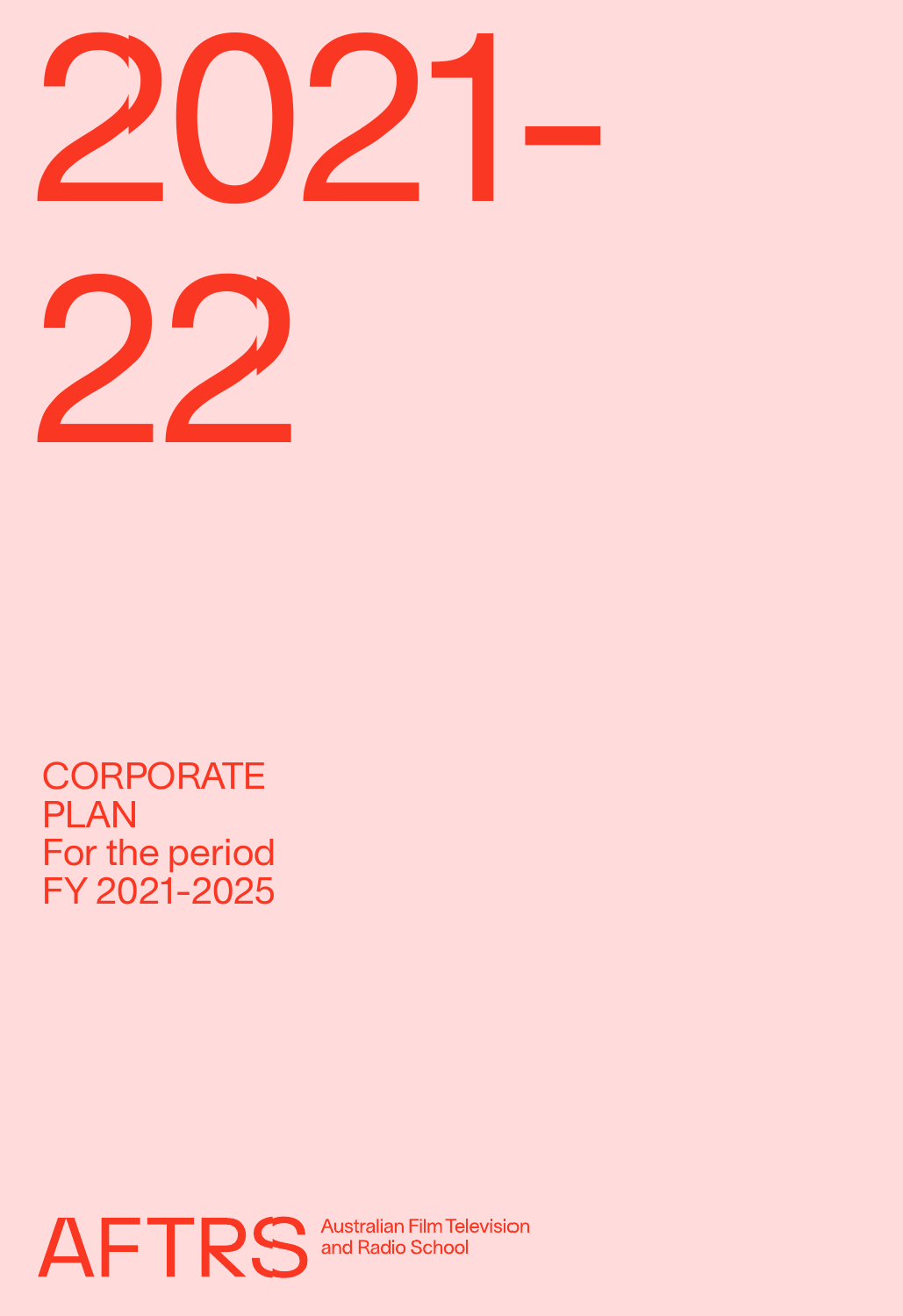

**CORPORATE** PLAN For the period FY 2021-2025



**Australian Film Television<br>and Radio School**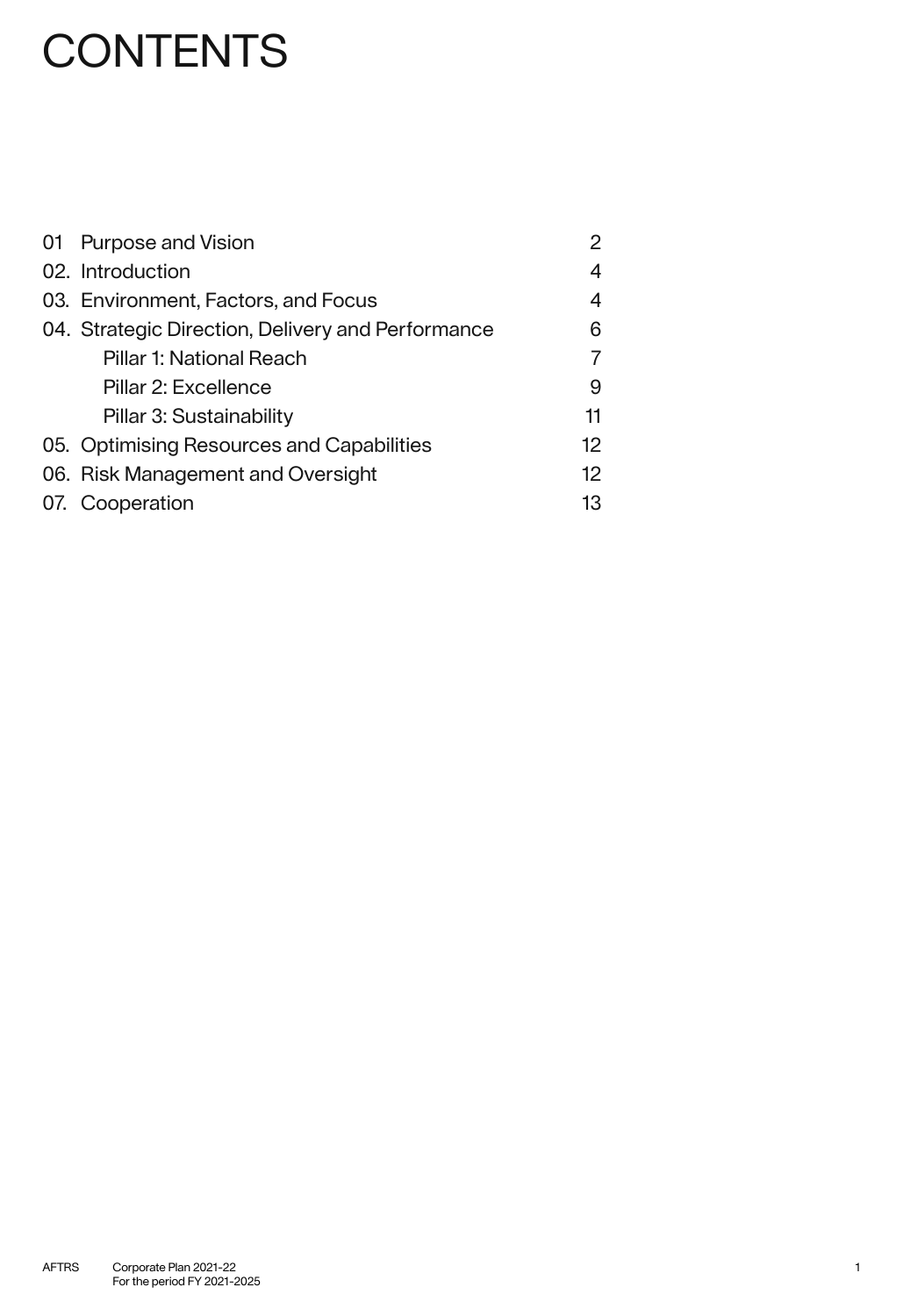# **CONTENTS**

| 01 Purpose and Vision                             | 2  |
|---------------------------------------------------|----|
| 02. Introduction                                  | 4  |
| 03. Environment, Factors, and Focus               | 4  |
| 04. Strategic Direction, Delivery and Performance | 6  |
| Pillar 1: National Reach                          | 7  |
| Pillar 2: Excellence                              | 9  |
| Pillar 3: Sustainability                          | 11 |
| 05. Optimising Resources and Capabilities         | 12 |
| 06. Risk Management and Oversight                 | 12 |
| 07. Cooperation                                   | 13 |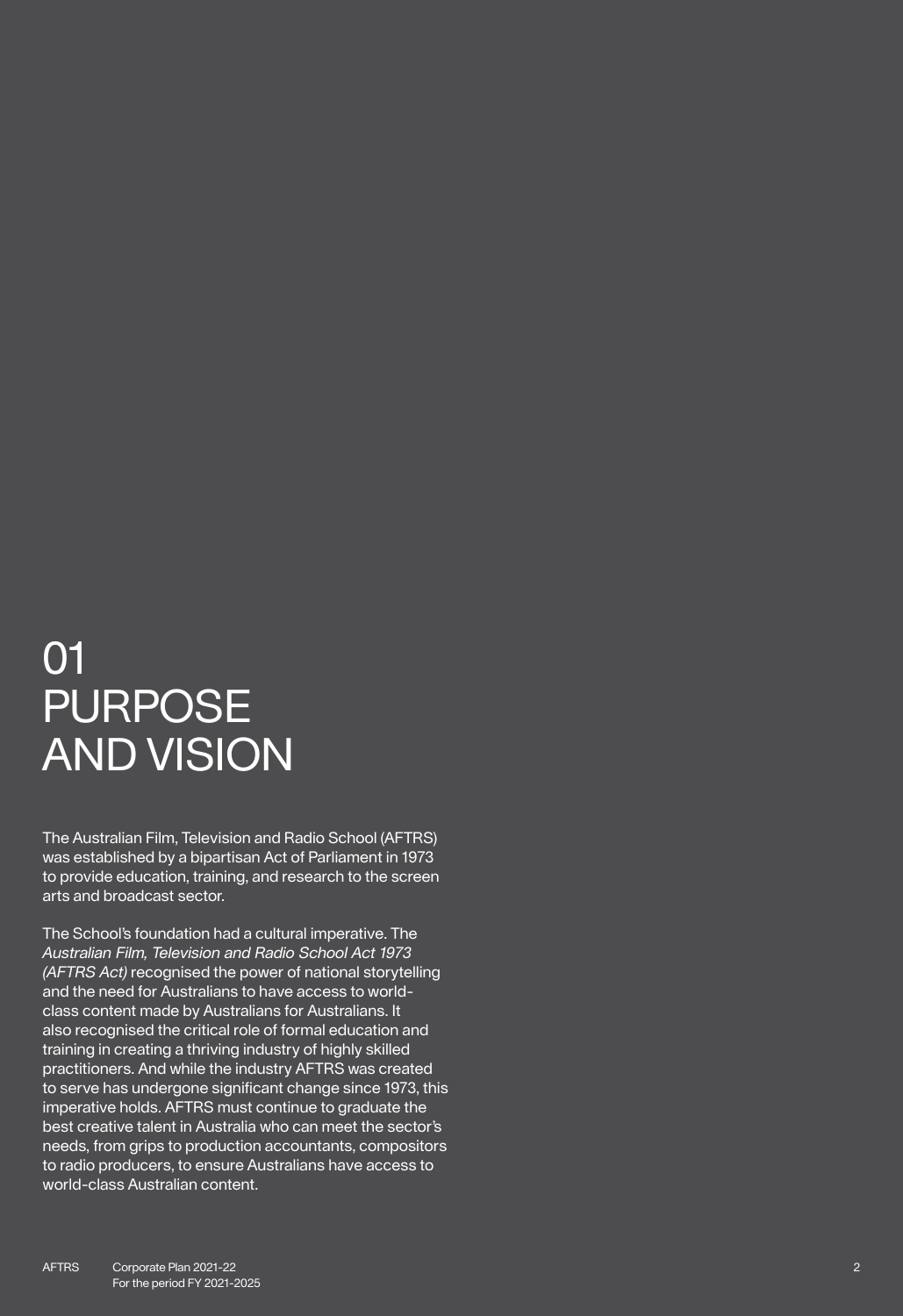# 01 PURPOSE AND VISION

The Australian Film, Television and Radio School (AFTRS) was established by a bipartisan Act of Parliament in 1973 to provide education, training, and research to the screen arts and broadcast sector.

The School's foundation had a cultural imperative. The *Australian Film, Television and Radio School Act 1973 (AFTRS Act)* recognised the power of national storytelling and the need for Australians to have access to worldclass content made by Australians for Australians. It also recognised the critical role of formal education and training in creating a thriving industry of highly skilled practitioners. And while the industry AFTRS was created to serve has undergone significant change since 1973, this imperative holds. AFTRS must continue to graduate the best creative talent in Australia who can meet the sector's needs, from grips to production accountants, compositors to radio producers, to ensure Australians have access to world-class Australian content.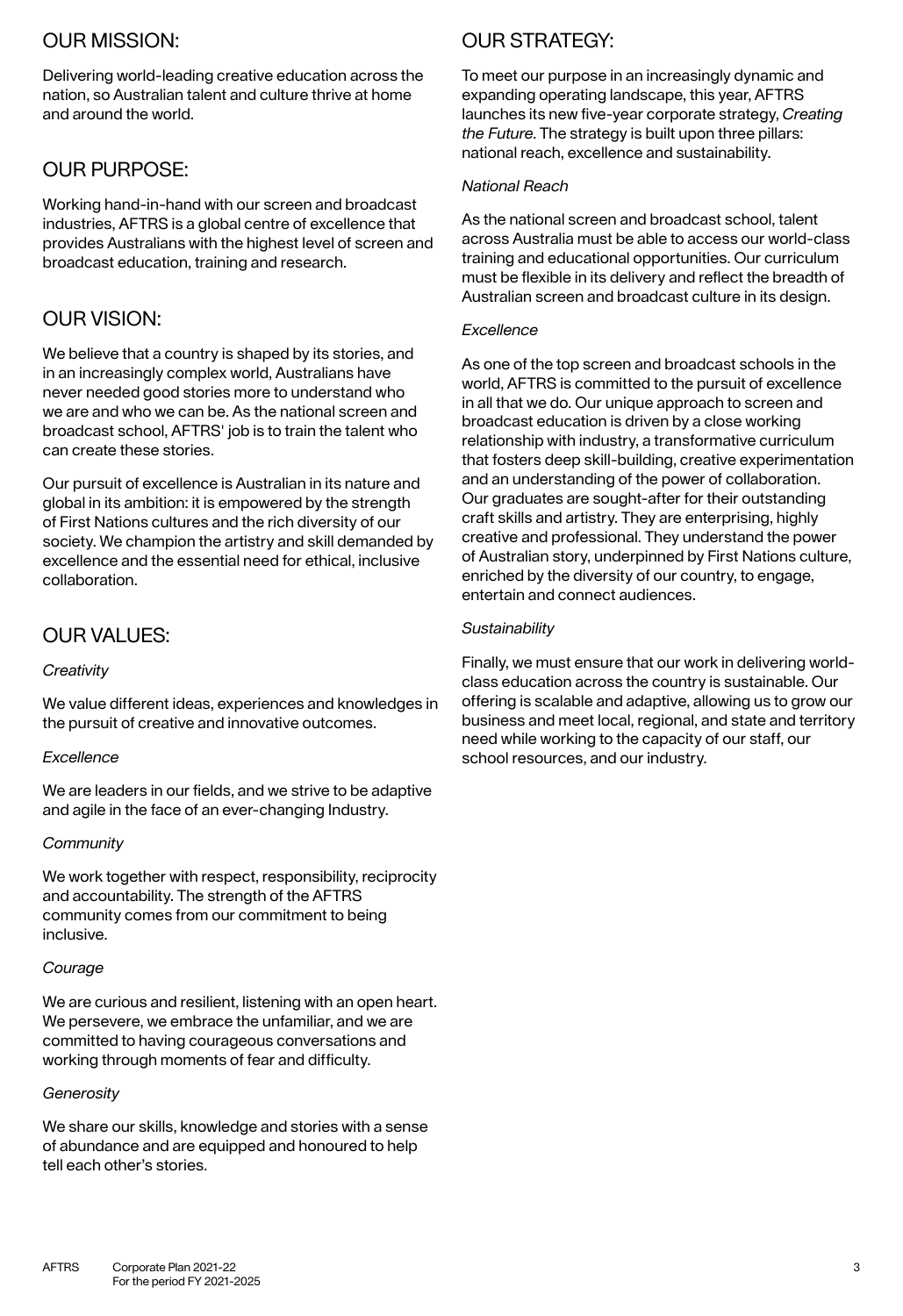### OUR MISSION:

Delivering world-leading creative education across the nation, so Australian talent and culture thrive at home and around the world.

### OUR PURPOSE:

Working hand-in-hand with our screen and broadcast industries, AFTRS is a global centre of excellence that provides Australians with the highest level of screen and broadcast education, training and research.

### OUR VISION:

We believe that a country is shaped by its stories, and in an increasingly complex world, Australians have never needed good stories more to understand who we are and who we can be. As the national screen and broadcast school, AFTRS' job is to train the talent who can create these stories.

Our pursuit of excellence is Australian in its nature and global in its ambition: it is empowered by the strength of First Nations cultures and the rich diversity of our society. We champion the artistry and skill demanded by excellence and the essential need for ethical, inclusive collaboration.

### OUR VALUES:

#### *Creativity*

We value different ideas, experiences and knowledges in the pursuit of creative and innovative outcomes.

#### *Excellence*

We are leaders in our fields, and we strive to be adaptive and agile in the face of an ever-changing Industry.

#### *Community*

We work together with respect, responsibility, reciprocity and accountability. The strength of the AFTRS community comes from our commitment to being inclusive.

#### *Courage*

We are curious and resilient, listening with an open heart. We persevere, we embrace the unfamiliar, and we are committed to having courageous conversations and working through moments of fear and difficulty.

#### *Generosity*

We share our skills, knowledge and stories with a sense of abundance and are equipped and honoured to help tell each other's stories.

## OUR STRATEGY:

To meet our purpose in an increasingly dynamic and expanding operating landscape, this year, AFTRS launches its new five-year corporate strategy, *Creating the Future*. The strategy is built upon three pillars: national reach, excellence and sustainability.

#### *National Reach*

As the national screen and broadcast school, talent across Australia must be able to access our world-class training and educational opportunities. Our curriculum must be flexible in its delivery and reflect the breadth of Australian screen and broadcast culture in its design.

#### *Excellence*

As one of the top screen and broadcast schools in the world, AFTRS is committed to the pursuit of excellence in all that we do. Our unique approach to screen and broadcast education is driven by a close working relationship with industry, a transformative curriculum that fosters deep skill-building, creative experimentation and an understanding of the power of collaboration. Our graduates are sought-after for their outstanding craft skills and artistry. They are enterprising, highly creative and professional. They understand the power of Australian story, underpinned by First Nations culture, enriched by the diversity of our country, to engage, entertain and connect audiences.

#### *Sustainability*

Finally, we must ensure that our work in delivering worldclass education across the country is sustainable. Our offering is scalable and adaptive, allowing us to grow our business and meet local, regional, and state and territory need while working to the capacity of our staff, our school resources, and our industry.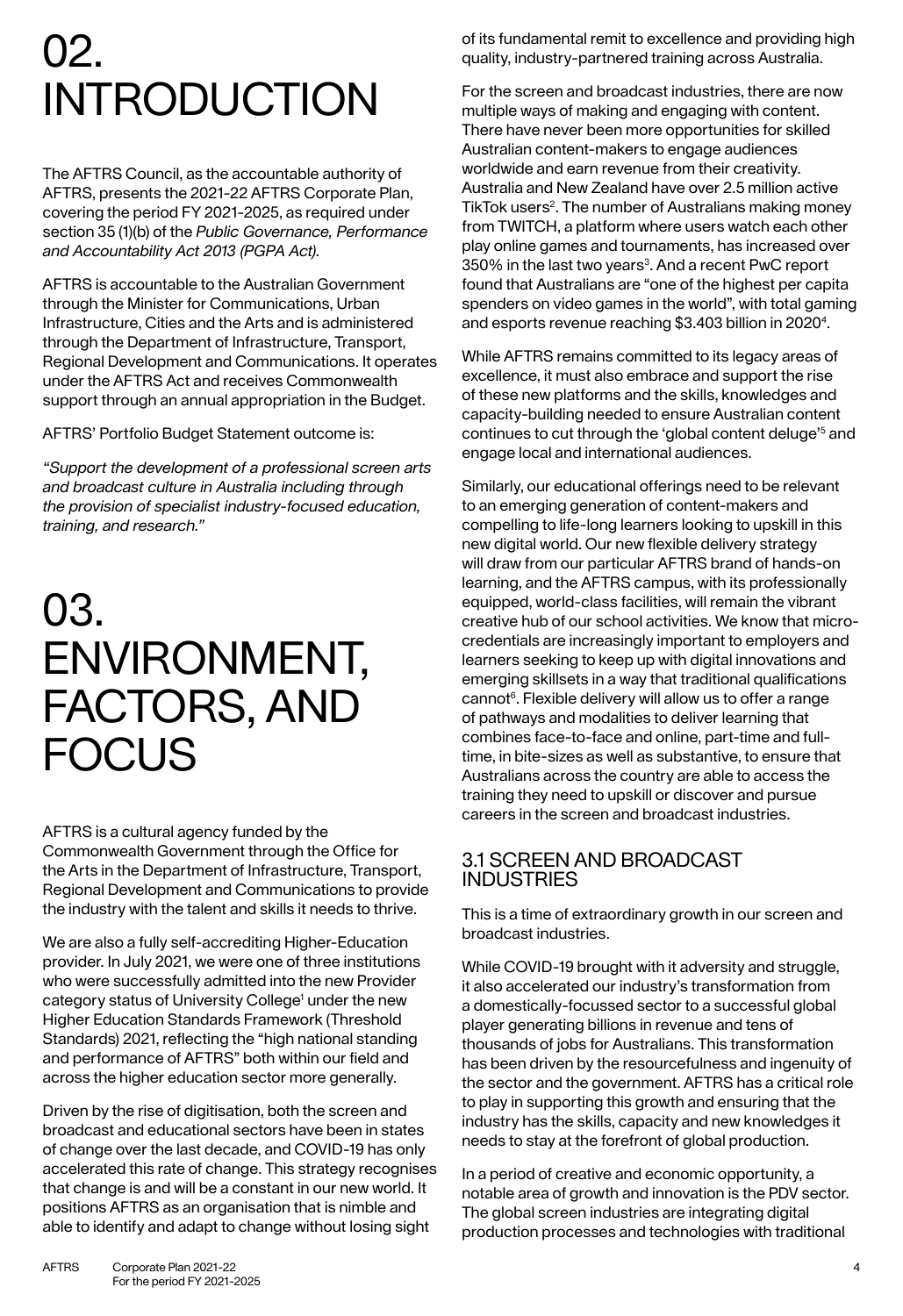# 02. INTRODUCTION

The AFTRS Council, as the accountable authority of AFTRS, presents the 2021-22 AFTRS Corporate Plan, covering the period FY 2021-2025, as required under section 35 (1)(b) of the *Public Governance, Performance and Accountability Act 2013 (PGPA Act)*.

AFTRS is accountable to the Australian Government through the Minister for Communications, Urban Infrastructure, Cities and the Arts and is administered through the Department of Infrastructure, Transport, Regional Development and Communications. It operates under the AFTRS Act and receives Commonwealth support through an annual appropriation in the Budget.

#### AFTRS' Portfolio Budget Statement outcome is:

*"Support the development of a professional screen arts and broadcast culture in Australia including through the provision of specialist industry-focused education, training, and research."*

# 03. ENVIRONMENT, FACTORS, AND **FOCUS**

AFTRS is a cultural agency funded by the Commonwealth Government through the Office for the Arts in the Department of Infrastructure, Transport, Regional Development and Communications to provide the industry with the talent and skills it needs to thrive.

We are also a fully self-accrediting Higher-Education provider. In July 2021, we were one of three institutions who were successfully admitted into the new Provider category status of University College<sup>1</sup> under the new Higher Education Standards Framework (Threshold Standards) 2021, reflecting the "high national standing and performance of AFTRS" both within our field and across the higher education sector more generally.

Driven by the rise of digitisation, both the screen and broadcast and educational sectors have been in states of change over the last decade, and COVID-19 has only accelerated this rate of change. This strategy recognises that change is and will be a constant in our new world. It positions AFTRS as an organisation that is nimble and able to identify and adapt to change without losing sight

of its fundamental remit to excellence and providing high quality, industry-partnered training across Australia.

For the screen and broadcast industries, there are now multiple ways of making and engaging with content. There have never been more opportunities for skilled Australian content-makers to engage audiences worldwide and earn revenue from their creativity. Australia and New Zealand have over 2.5 million active TikTok users<sup>2</sup>. The number of Australians making money from TWITCH, a platform where users watch each other play online games and tournaments, has increased over 350% in the last two years<sup>3</sup>. And a recent PwC report found that Australians are "one of the highest per capita spenders on video games in the world", with total gaming and esports revenue reaching \$3.403 billion in 20204.

While AFTRS remains committed to its legacy areas of excellence, it must also embrace and support the rise of these new platforms and the skills, knowledges and capacity-building needed to ensure Australian content continues to cut through the 'global content deluge'<sup>5</sup> and engage local and international audiences.

Similarly, our educational offerings need to be relevant to an emerging generation of content-makers and compelling to life-long learners looking to upskill in this new digital world. Our new flexible delivery strategy will draw from our particular AFTRS brand of hands-on learning, and the AFTRS campus, with its professionally equipped, world-class facilities, will remain the vibrant creative hub of our school activities. We know that microcredentials are increasingly important to employers and learners seeking to keep up with digital innovations and emerging skillsets in a way that traditional qualifications cannot<sup>6</sup>. Flexible delivery will allow us to offer a range of pathways and modalities to deliver learning that combines face-to-face and online, part-time and fulltime, in bite-sizes as well as substantive, to ensure that Australians across the country are able to access the training they need to upskill or discover and pursue careers in the screen and broadcast industries.

### 3.1 SCREEN AND BROADCAST INDUSTRIES

This is a time of extraordinary growth in our screen and broadcast industries.

While COVID-19 brought with it adversity and struggle, it also accelerated our industry's transformation from a domestically-focussed sector to a successful global player generating billions in revenue and tens of thousands of jobs for Australians. This transformation has been driven by the resourcefulness and ingenuity of the sector and the government. AFTRS has a critical role to play in supporting this growth and ensuring that the industry has the skills, capacity and new knowledges it needs to stay at the forefront of global production.

In a period of creative and economic opportunity, a notable area of growth and innovation is the PDV sector. The global screen industries are integrating digital production processes and technologies with traditional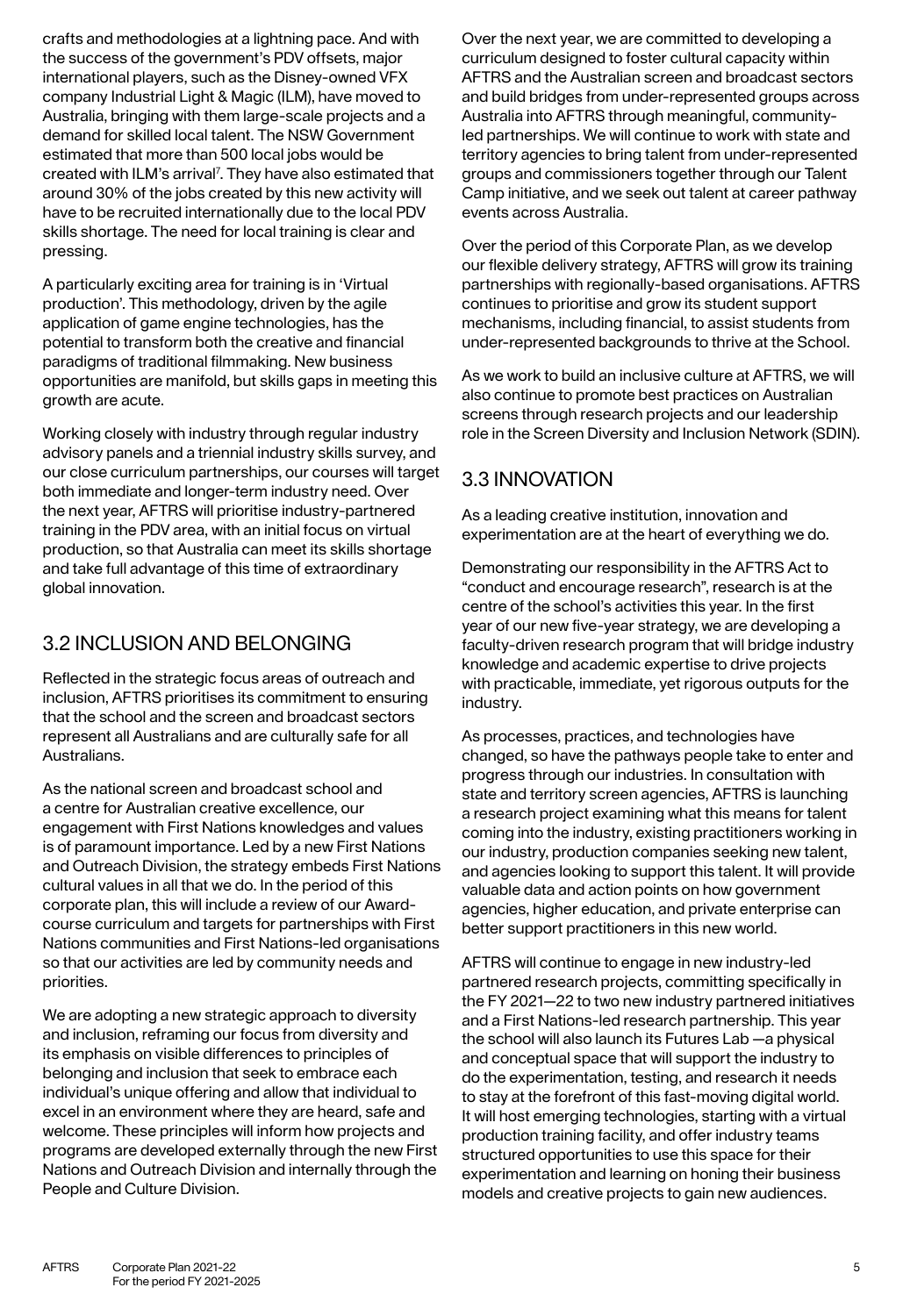crafts and methodologies at a lightning pace. And with the success of the government's PDV offsets, major international players, such as the Disney-owned VFX company Industrial Light & Magic (ILM), have moved to Australia, bringing with them large-scale projects and a demand for skilled local talent. The NSW Government estimated that more than 500 local jobs would be created with ILM's arrival<sup>7</sup>. They have also estimated that around 30% of the jobs created by this new activity will have to be recruited internationally due to the local PDV skills shortage. The need for local training is clear and pressing.

A particularly exciting area for training is in 'Virtual production'. This methodology, driven by the agile application of game engine technologies, has the potential to transform both the creative and financial paradigms of traditional filmmaking. New business opportunities are manifold, but skills gaps in meeting this growth are acute.

Working closely with industry through regular industry advisory panels and a triennial industry skills survey, and our close curriculum partnerships, our courses will target both immediate and longer-term industry need. Over the next year, AFTRS will prioritise industry-partnered training in the PDV area, with an initial focus on virtual production, so that Australia can meet its skills shortage and take full advantage of this time of extraordinary global innovation.

### 3.2 INCLUSION AND BELONGING

Reflected in the strategic focus areas of outreach and inclusion, AFTRS prioritises its commitment to ensuring that the school and the screen and broadcast sectors represent all Australians and are culturally safe for all Australians.

As the national screen and broadcast school and a centre for Australian creative excellence, our engagement with First Nations knowledges and values is of paramount importance. Led by a new First Nations and Outreach Division, the strategy embeds First Nations cultural values in all that we do. In the period of this corporate plan, this will include a review of our Awardcourse curriculum and targets for partnerships with First Nations communities and First Nations-led organisations so that our activities are led by community needs and priorities.

We are adopting a new strategic approach to diversity and inclusion, reframing our focus from diversity and its emphasis on visible differences to principles of belonging and inclusion that seek to embrace each individual's unique offering and allow that individual to excel in an environment where they are heard, safe and welcome. These principles will inform how projects and programs are developed externally through the new First Nations and Outreach Division and internally through the People and Culture Division.

Over the next year, we are committed to developing a curriculum designed to foster cultural capacity within AFTRS and the Australian screen and broadcast sectors and build bridges from under-represented groups across Australia into AFTRS through meaningful, communityled partnerships. We will continue to work with state and territory agencies to bring talent from under-represented groups and commissioners together through our Talent Camp initiative, and we seek out talent at career pathway events across Australia.

Over the period of this Corporate Plan, as we develop our flexible delivery strategy, AFTRS will grow its training partnerships with regionally-based organisations. AFTRS continues to prioritise and grow its student support mechanisms, including financial, to assist students from under-represented backgrounds to thrive at the School.

As we work to build an inclusive culture at AFTRS, we will also continue to promote best practices on Australian screens through research projects and our leadership role in the Screen Diversity and Inclusion Network (SDIN).

### 3.3 INNOVATION

As a leading creative institution, innovation and experimentation are at the heart of everything we do.

Demonstrating our responsibility in the AFTRS Act to "conduct and encourage research", research is at the centre of the school's activities this year. In the first year of our new five-year strategy, we are developing a faculty-driven research program that will bridge industry knowledge and academic expertise to drive projects with practicable, immediate, yet rigorous outputs for the industry.

As processes, practices, and technologies have changed, so have the pathways people take to enter and progress through our industries. In consultation with state and territory screen agencies, AFTRS is launching a research project examining what this means for talent coming into the industry, existing practitioners working in our industry, production companies seeking new talent, and agencies looking to support this talent. It will provide valuable data and action points on how government agencies, higher education, and private enterprise can better support practitioners in this new world.

AFTRS will continue to engage in new industry-led partnered research projects, committing specifically in the FY 2021—22 to two new industry partnered initiatives and a First Nations-led research partnership. This year the school will also launch its Futures Lab —a physical and conceptual space that will support the industry to do the experimentation, testing, and research it needs to stay at the forefront of this fast-moving digital world. It will host emerging technologies, starting with a virtual production training facility, and offer industry teams structured opportunities to use this space for their experimentation and learning on honing their business models and creative projects to gain new audiences.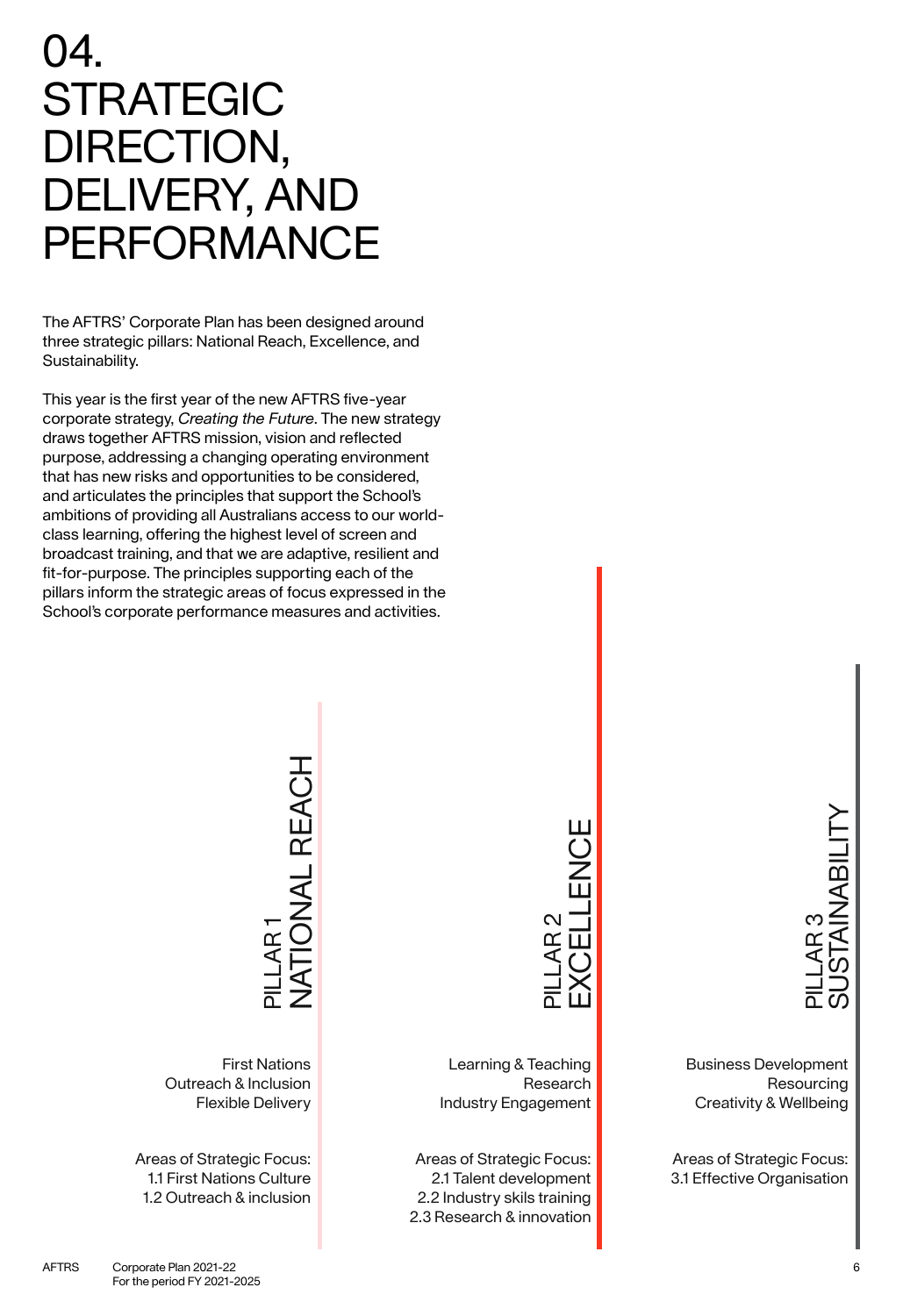04.

Sustainability.

STRATEGIC

DIRECTION,

DELIVERY, AND

PERFORMANCE

The AFTRS' Corporate Plan has been designed around three strategic pillars: National Reach, Excellence, and

This year is the first year of the new AFTRS five-year corporate strategy, *Creating the Future*. The new strategy draws together AFTRS mission, vision and reflected purpose, addressing a changing operating environment that has new risks and opportunities to be considered, and articulates the principles that support the School's ambitions of providing all Australians access to our worldclass learning, offering the highest level of screen and broadcast training, and that we are adaptive, resilient and fit-for-purpose. The principles supporting each of the pillars inform the strategic areas of focus expressed in the School's corporate performance measures and activities.

> **IONAL REACH** NATIONAL REACH PILLAR 1

First Nations Outreach & Inclusion Flexible Delivery

Areas of Strategic Focus: 1.1 First Nations Culture 1.2 Outreach & inclusion

# EXCELLENCE PILLAR 2

Learning & Teaching Research Industry Engagement

Areas of Strategic Focus: 2.1 Talent development 2.2 Industry skils training 2.3 Research & innovation

SUSTAINABILITY **TAINABILIT** PILLAR 3

Business Development Resourcing Creativity & Wellbeing

Areas of Strategic Focus: 3.1 Effective Organisation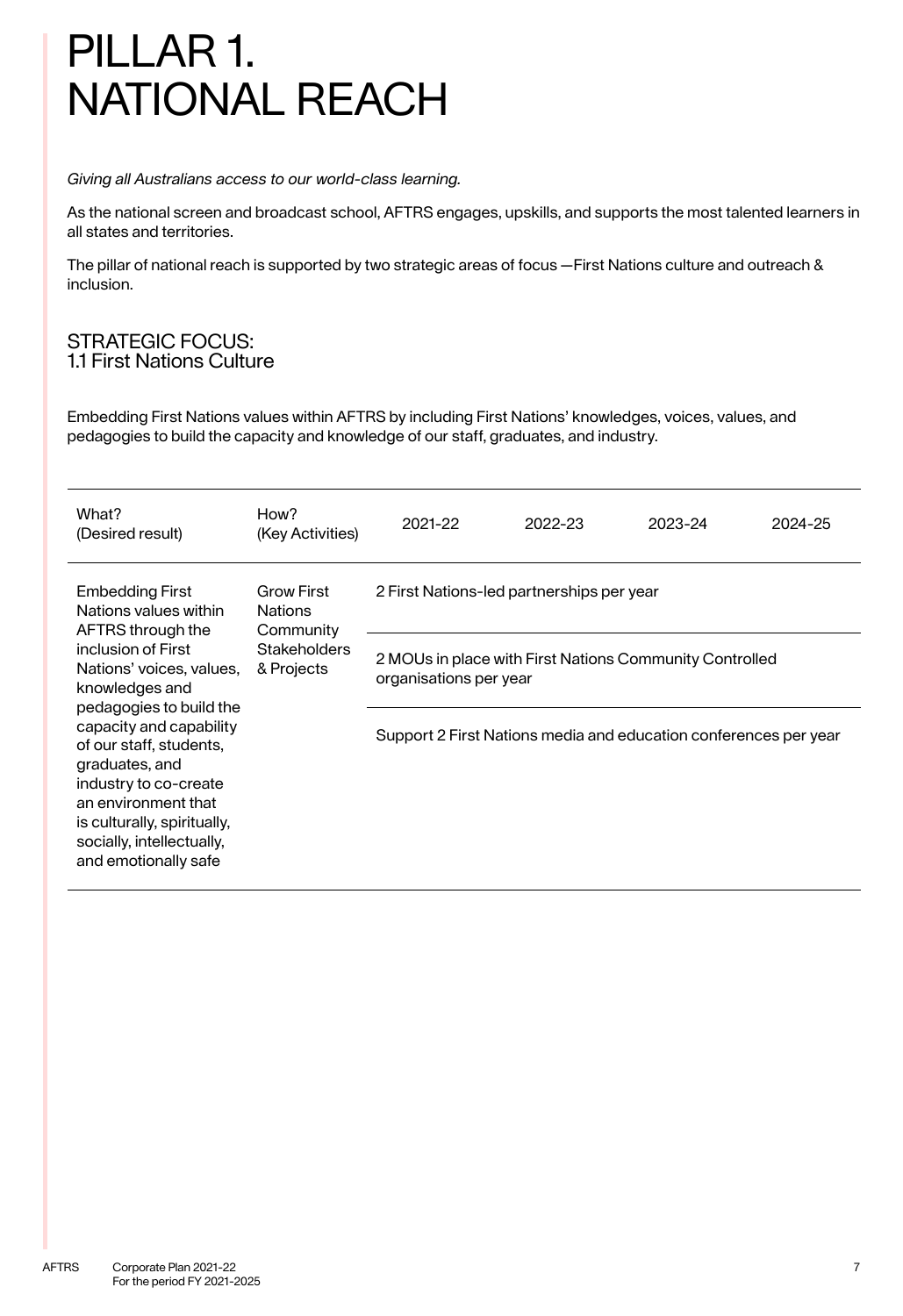# PILLAR 1. NATIONAL REACH

#### *Giving all Australians access to our world-class learning.*

As the national screen and broadcast school, AFTRS engages, upskills, and supports the most talented learners in all states and territories.

The pillar of national reach is supported by two strategic areas of focus —First Nations culture and outreach & inclusion.

### STRATEGIC FOCUS: 1.1 First Nations Culture

Embedding First Nations values within AFTRS by including First Nations' knowledges, voices, values, and pedagogies to build the capacity and knowledge of our staff, graduates, and industry.

| What?<br>(Desired result)                                                                                                                                                                                                                                                                                                                                                       | How?<br>(Key Activities)                                                              | 2021-22                                                                           | 2022-23 | 2023-24 | 2024-25 |  |  |
|---------------------------------------------------------------------------------------------------------------------------------------------------------------------------------------------------------------------------------------------------------------------------------------------------------------------------------------------------------------------------------|---------------------------------------------------------------------------------------|-----------------------------------------------------------------------------------|---------|---------|---------|--|--|
| <b>Embedding First</b><br>Nations values within<br>AFTRS through the<br>inclusion of First<br>Nations' voices, values,<br>knowledges and<br>pedagogies to build the<br>capacity and capability<br>of our staff, students,<br>graduates, and<br>industry to co-create<br>an environment that<br>is culturally, spiritually,<br>socially, intellectually,<br>and emotionally safe | <b>Grow First</b><br><b>Nations</b><br>Community<br><b>Stakeholders</b><br>& Projects | 2 First Nations-led partnerships per year                                         |         |         |         |  |  |
|                                                                                                                                                                                                                                                                                                                                                                                 |                                                                                       | 2 MOUs in place with First Nations Community Controlled<br>organisations per year |         |         |         |  |  |
|                                                                                                                                                                                                                                                                                                                                                                                 |                                                                                       | Support 2 First Nations media and education conferences per year                  |         |         |         |  |  |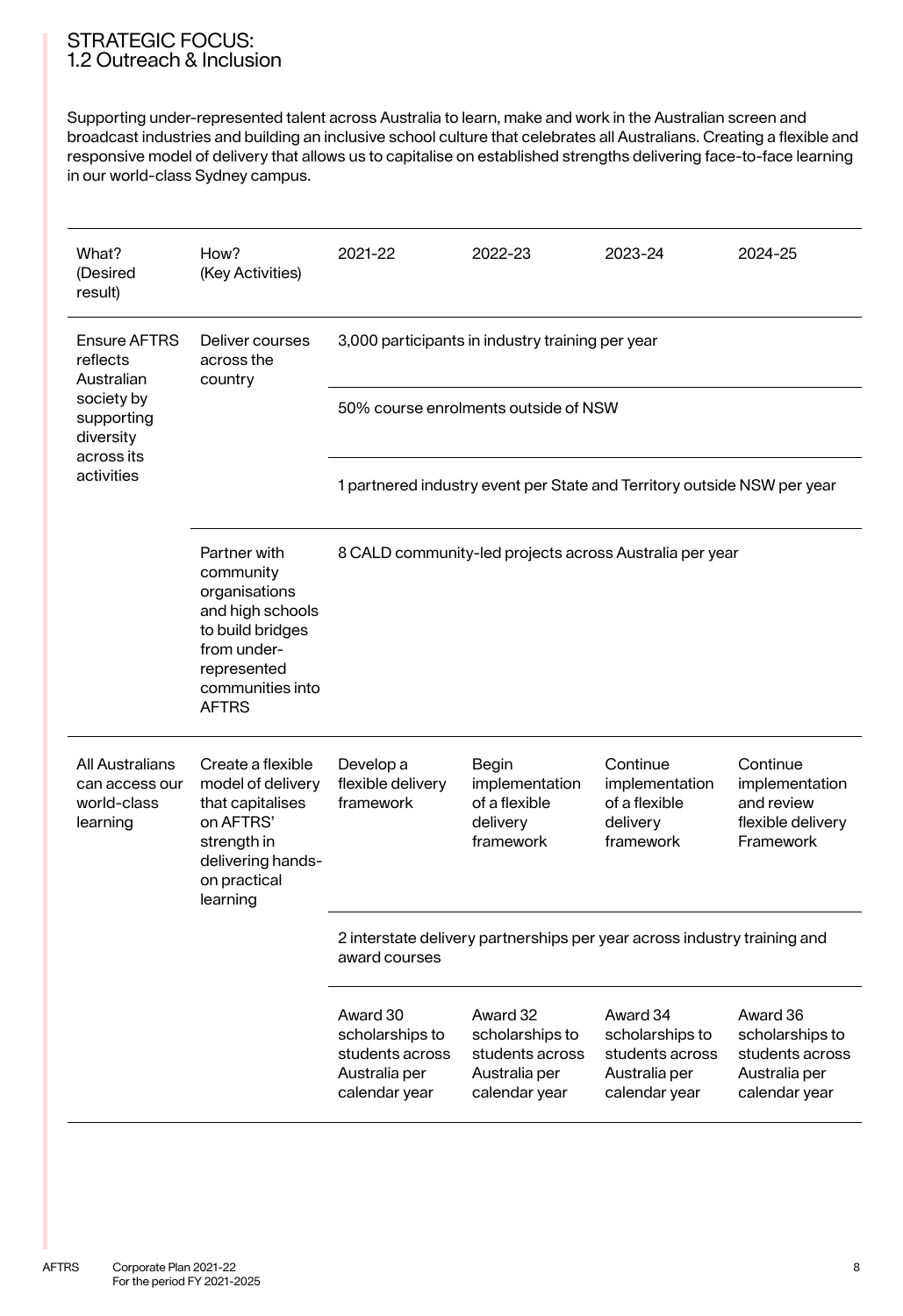### STRATEGIC FOCUS: 1.2 Outreach & Inclusion

Supporting under-represented talent across Australia to learn, make and work in the Australian screen and broadcast industries and building an inclusive school culture that celebrates all Australians. Creating a flexible and responsive model of delivery that allows us to capitalise on established strengths delivering face-to-face learning in our world-class Sydney campus.

| What?<br>(Desired<br>result)                                 | How?<br>(Key Activities)                                                                                                                             | 2021-22                                                                                   | 2022-23                                                                          | 2023-24                                                                          | 2024-25                                                                          |  |  |
|--------------------------------------------------------------|------------------------------------------------------------------------------------------------------------------------------------------------------|-------------------------------------------------------------------------------------------|----------------------------------------------------------------------------------|----------------------------------------------------------------------------------|----------------------------------------------------------------------------------|--|--|
| <b>Ensure AFTRS</b><br>reflects<br>Australian                | Deliver courses<br>across the<br>country                                                                                                             | 3,000 participants in industry training per year                                          |                                                                                  |                                                                                  |                                                                                  |  |  |
| society by<br>supporting<br>diversity                        |                                                                                                                                                      | 50% course enrolments outside of NSW                                                      |                                                                                  |                                                                                  |                                                                                  |  |  |
| across its<br>activities                                     |                                                                                                                                                      | 1 partnered industry event per State and Territory outside NSW per year                   |                                                                                  |                                                                                  |                                                                                  |  |  |
|                                                              | Partner with<br>community<br>organisations<br>and high schools<br>to build bridges<br>from under-<br>represented<br>communities into<br><b>AFTRS</b> | 8 CALD community-led projects across Australia per year                                   |                                                                                  |                                                                                  |                                                                                  |  |  |
| All Australians<br>can access our<br>world-class<br>learning | Create a flexible<br>model of delivery<br>that capitalises<br>on AFTRS'<br>strength in<br>delivering hands-<br>on practical<br>learning              | Develop a<br>flexible delivery<br>framework                                               | Begin<br>implementation<br>of a flexible<br>delivery<br>framework                | Continue<br>implementation<br>of a flexible<br>delivery<br>framework             | Continue<br>implementation<br>and review<br>flexible delivery<br>Framework       |  |  |
|                                                              |                                                                                                                                                      | 2 interstate delivery partnerships per year across industry training and<br>award courses |                                                                                  |                                                                                  |                                                                                  |  |  |
|                                                              |                                                                                                                                                      | Award 30<br>scholarships to<br>students across<br>Australia per<br>calendar year          | Award 32<br>scholarships to<br>students across<br>Australia per<br>calendar year | Award 34<br>scholarships to<br>students across<br>Australia per<br>calendar year | Award 36<br>scholarships to<br>students across<br>Australia per<br>calendar year |  |  |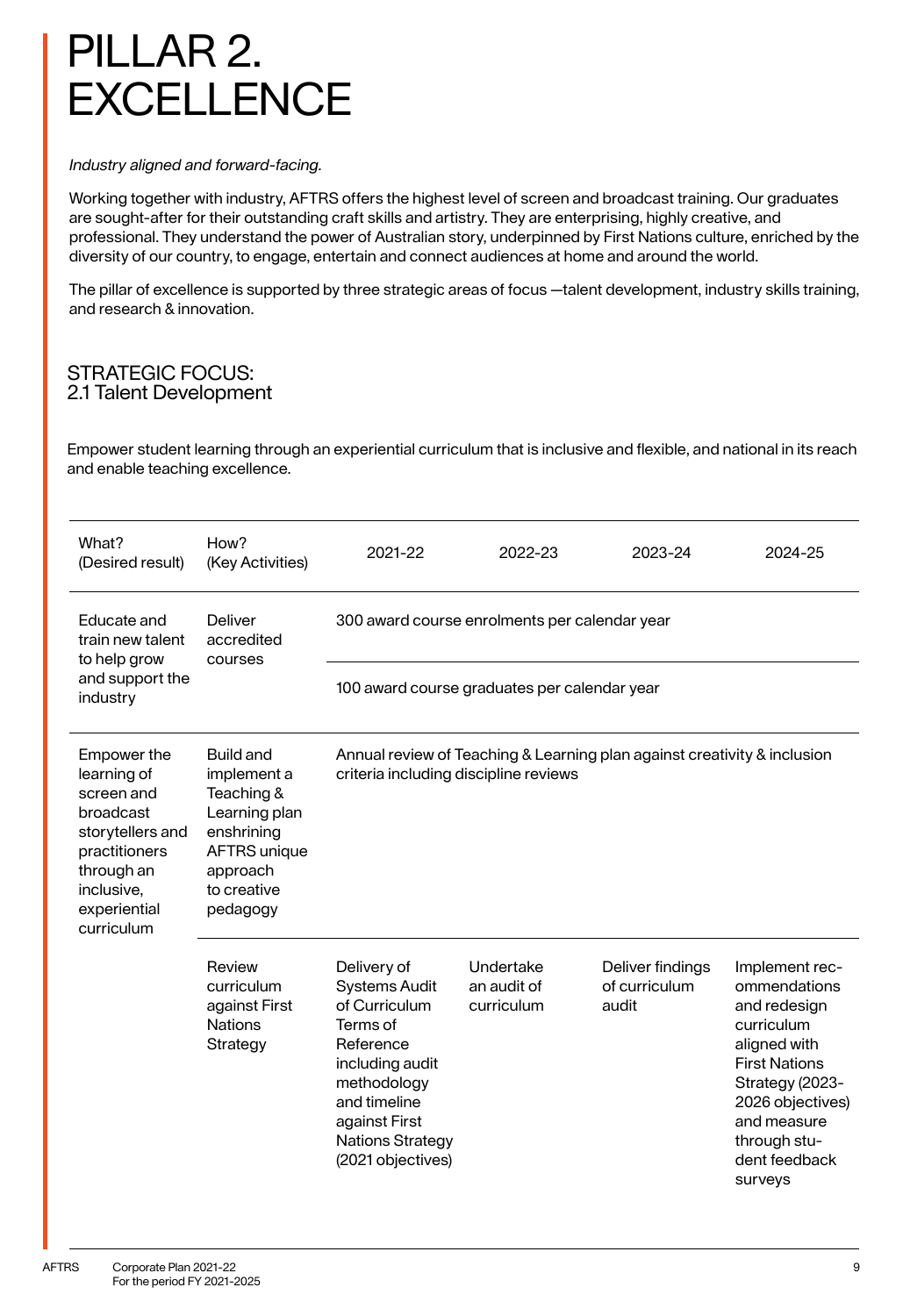# PILLAR 2. **EXCELLENCE**

#### *Industry aligned and forward-facing.*

Working together with industry, AFTRS offers the highest level of screen and broadcast training. Our graduates are sought-after for their outstanding craft skills and artistry. They are enterprising, highly creative, and professional. They understand the power of Australian story, underpinned by First Nations culture, enriched by the diversity of our country, to engage, entertain and connect audiences at home and around the world.

The pillar of excellence is supported by three strategic areas of focus —talent development, industry skills training, and research & innovation.

### STRATEGIC FOCUS: 2.1 Talent Development

Empower student learning through an experiential curriculum that is inclusive and flexible, and national in its reach and enable teaching excellence.

| What?<br>(Desired result)                                                                                                                            | How?<br>(Key Activities)                                                                                                                                                                                                                          | 2021-22                                                                                                                                                                                          | 2022-23                                | 2023-24                                    | 2024-25                                                                                                                                                                                                |  |  |
|------------------------------------------------------------------------------------------------------------------------------------------------------|---------------------------------------------------------------------------------------------------------------------------------------------------------------------------------------------------------------------------------------------------|--------------------------------------------------------------------------------------------------------------------------------------------------------------------------------------------------|----------------------------------------|--------------------------------------------|--------------------------------------------------------------------------------------------------------------------------------------------------------------------------------------------------------|--|--|
| Educate and<br>train new talent<br>to help grow                                                                                                      | <b>Deliver</b><br>accredited<br>courses                                                                                                                                                                                                           | 300 award course enrolments per calendar year                                                                                                                                                    |                                        |                                            |                                                                                                                                                                                                        |  |  |
| and support the<br>industry                                                                                                                          |                                                                                                                                                                                                                                                   | 100 award course graduates per calendar year                                                                                                                                                     |                                        |                                            |                                                                                                                                                                                                        |  |  |
| Empower the<br>learning of<br>screen and<br>broadcast<br>storytellers and<br>practitioners<br>through an<br>inclusive,<br>experiential<br>curriculum | Build and<br>Annual review of Teaching & Learning plan against creativity & inclusion<br>implement a<br>criteria including discipline reviews<br>Teaching &<br>Learning plan<br>enshrining<br>AFTRS unique<br>approach<br>to creative<br>pedagogy |                                                                                                                                                                                                  |                                        |                                            |                                                                                                                                                                                                        |  |  |
|                                                                                                                                                      | Review<br>curriculum<br>against First<br><b>Nations</b><br>Strategy                                                                                                                                                                               | Delivery of<br><b>Systems Audit</b><br>of Curriculum<br>Terms of<br>Reference<br>including audit<br>methodology<br>and timeline<br>against First<br><b>Nations Strategy</b><br>(2021 objectives) | Undertake<br>an audit of<br>curriculum | Deliver findings<br>of curriculum<br>audit | Implement rec-<br>ommendations<br>and redesign<br>curriculum<br>aligned with<br><b>First Nations</b><br>Strategy (2023-<br>2026 objectives)<br>and measure<br>through stu-<br>dent feedback<br>surveys |  |  |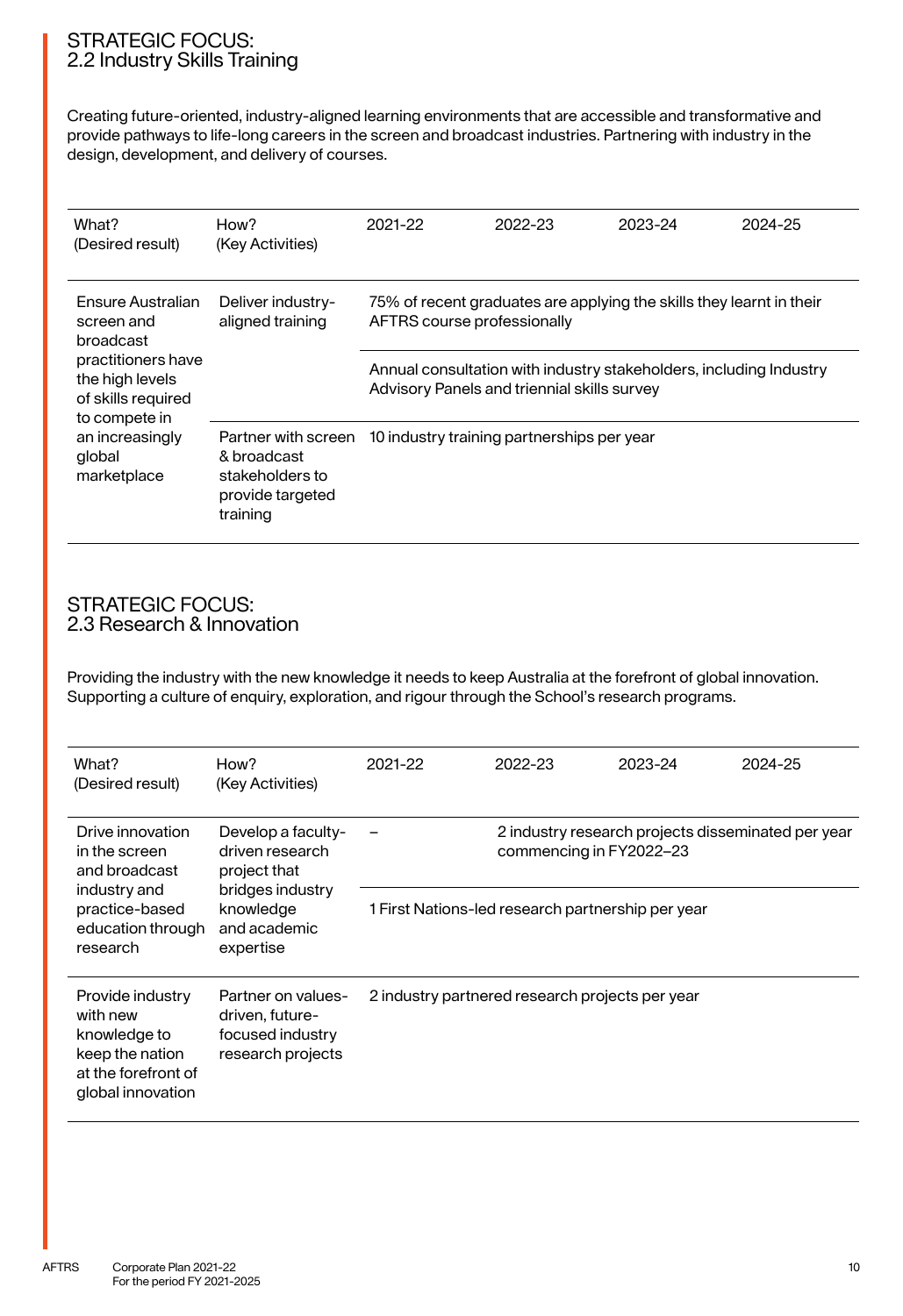### STRATEGIC FOCUS: 2.2 Industry Skills Training

Creating future-oriented, industry-aligned learning environments that are accessible and transformative and provide pathways to life-long careers in the screen and broadcast industries. Partnering with industry in the design, development, and delivery of courses.

| What?<br>(Desired result)                                                    | How?<br>(Key Activities)                                                              | 2021-22                                                                                                           | 2022-23                                    | 2023-24 | 2024-25 |  |  |
|------------------------------------------------------------------------------|---------------------------------------------------------------------------------------|-------------------------------------------------------------------------------------------------------------------|--------------------------------------------|---------|---------|--|--|
| Ensure Australian<br>screen and<br>broadcast                                 | Deliver industry-<br>aligned training                                                 | 75% of recent graduates are applying the skills they learnt in their<br>AFTRS course professionally               |                                            |         |         |  |  |
| practitioners have<br>the high levels<br>of skills required<br>to compete in |                                                                                       | Annual consultation with industry stakeholders, including Industry<br>Advisory Panels and triennial skills survey |                                            |         |         |  |  |
| an increasingly<br>global<br>marketplace                                     | Partner with screen<br>& broadcast<br>stakeholders to<br>provide targeted<br>training |                                                                                                                   | 10 industry training partnerships per year |         |         |  |  |

#### STRATEGIC FOCUS: 2.3 Research & Innovation

Providing the industry with the new knowledge it needs to keep Australia at the forefront of global innovation. Supporting a culture of enquiry, exploration, and rigour through the School's research programs.

| What?<br>(Desired result)                                                                                   | How?<br>(Key Activities)                                                                                            | 2021-22                                         | 2022-23                                                                       | 2023-24 | 2024-25 |  |
|-------------------------------------------------------------------------------------------------------------|---------------------------------------------------------------------------------------------------------------------|-------------------------------------------------|-------------------------------------------------------------------------------|---------|---------|--|
| Drive innovation<br>in the screen<br>and broadcast                                                          | Develop a faculty-<br>driven research<br>project that<br>bridges industry<br>knowledge<br>and academic<br>expertise |                                                 | 2 industry research projects disseminated per year<br>commencing in FY2022-23 |         |         |  |
| industry and<br>practice-based<br>education through<br>research                                             |                                                                                                                     |                                                 | 1 First Nations-led research partnership per year                             |         |         |  |
| Provide industry<br>with new<br>knowledge to<br>keep the nation<br>at the forefront of<br>global innovation | Partner on values-<br>driven, future-<br>focused industry<br>research projects                                      | 2 industry partnered research projects per year |                                                                               |         |         |  |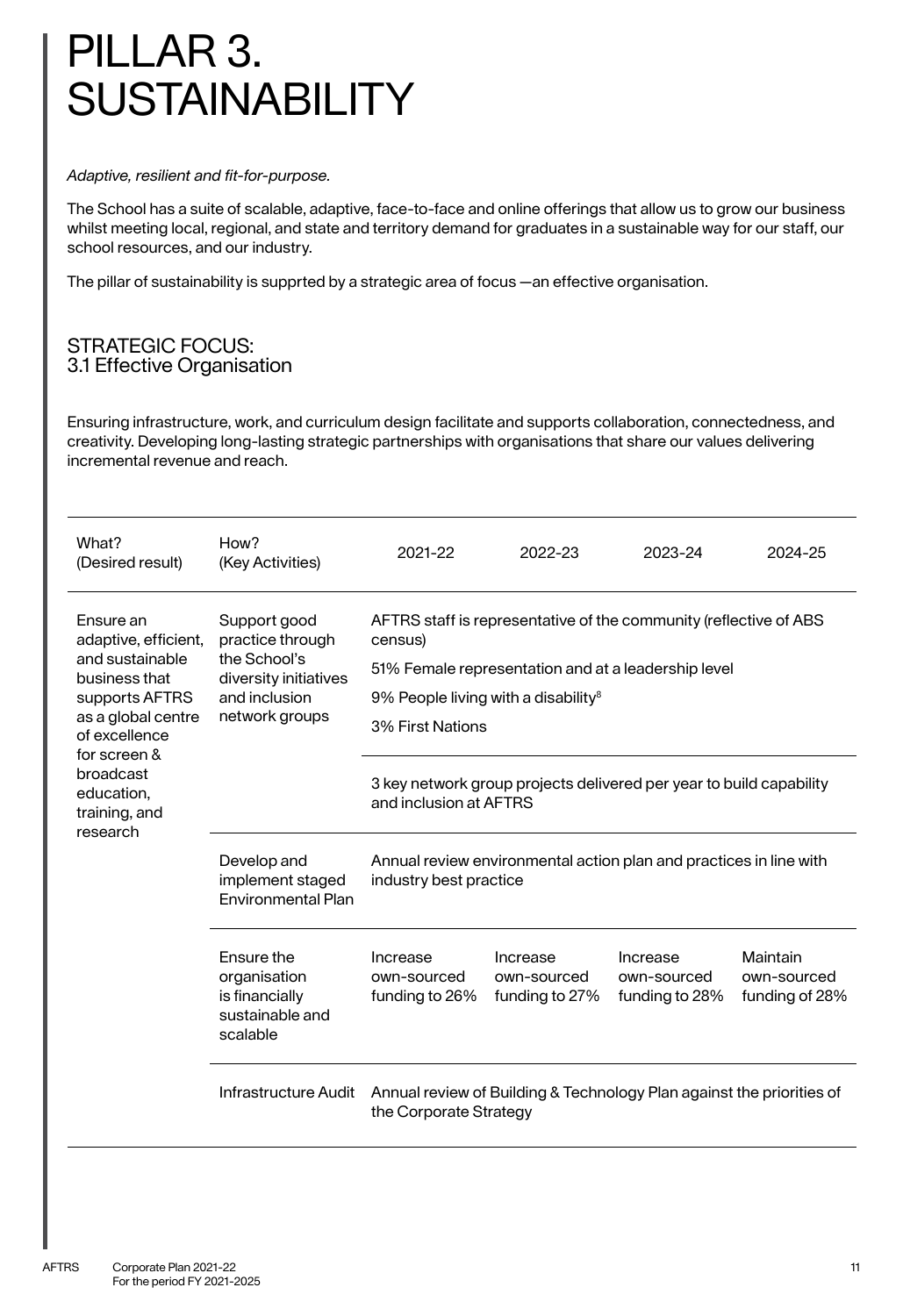# PILLAR 3. **SUSTAINABILITY**

#### *Adaptive, resilient and fit-for-purpose.*

The School has a suite of scalable, adaptive, face-to-face and online offerings that allow us to grow our business whilst meeting local, regional, and state and territory demand for graduates in a sustainable way for our staff, our school resources, and our industry.

The pillar of sustainability is supprted by a strategic area of focus —an effective organisation.

#### STRATEGIC FOCUS: 3.1 Effective Organisation

Ensuring infrastructure, work, and curriculum design facilitate and supports collaboration, connectedness, and creativity. Developing long-lasting strategic partnerships with organisations that share our values delivering incremental revenue and reach.

| What?<br>(Desired result)                            | How?<br>(Key Activities)                                                                                     | 2021-22                                                                                                | 2022-23                                   | 2023-24                                   | 2024-25                                   |  |
|------------------------------------------------------|--------------------------------------------------------------------------------------------------------------|--------------------------------------------------------------------------------------------------------|-------------------------------------------|-------------------------------------------|-------------------------------------------|--|
| Ensure an<br>adaptive, efficient,<br>and sustainable | Support good<br>practice through<br>the School's<br>diversity initiatives<br>and inclusion<br>network groups | AFTRS staff is representative of the community (reflective of ABS<br>census)                           |                                           |                                           |                                           |  |
| business that<br>supports AFTRS                      |                                                                                                              | 51% Female representation and at a leadership level<br>9% People living with a disability <sup>8</sup> |                                           |                                           |                                           |  |
| as a global centre<br>of excellence<br>for screen &  |                                                                                                              | 3% First Nations                                                                                       |                                           |                                           |                                           |  |
| broadcast<br>education,<br>training, and             |                                                                                                              | 3 key network group projects delivered per year to build capability<br>and inclusion at AFTRS          |                                           |                                           |                                           |  |
| research                                             | Develop and<br>implement staged<br><b>Fnvironmental Plan</b>                                                 | Annual review environmental action plan and practices in line with<br>industry best practice           |                                           |                                           |                                           |  |
|                                                      | Ensure the<br>organisation<br>is financially<br>sustainable and<br>scalable                                  | Increase<br>own-sourced<br>funding to 26%                                                              | Increase<br>own-sourced<br>funding to 27% | Increase<br>own-sourced<br>funding to 28% | Maintain<br>own-sourced<br>funding of 28% |  |
|                                                      | Infrastructure Audit                                                                                         | Annual review of Building & Technology Plan against the priorities of<br>the Corporate Strategy        |                                           |                                           |                                           |  |
|                                                      |                                                                                                              |                                                                                                        |                                           |                                           |                                           |  |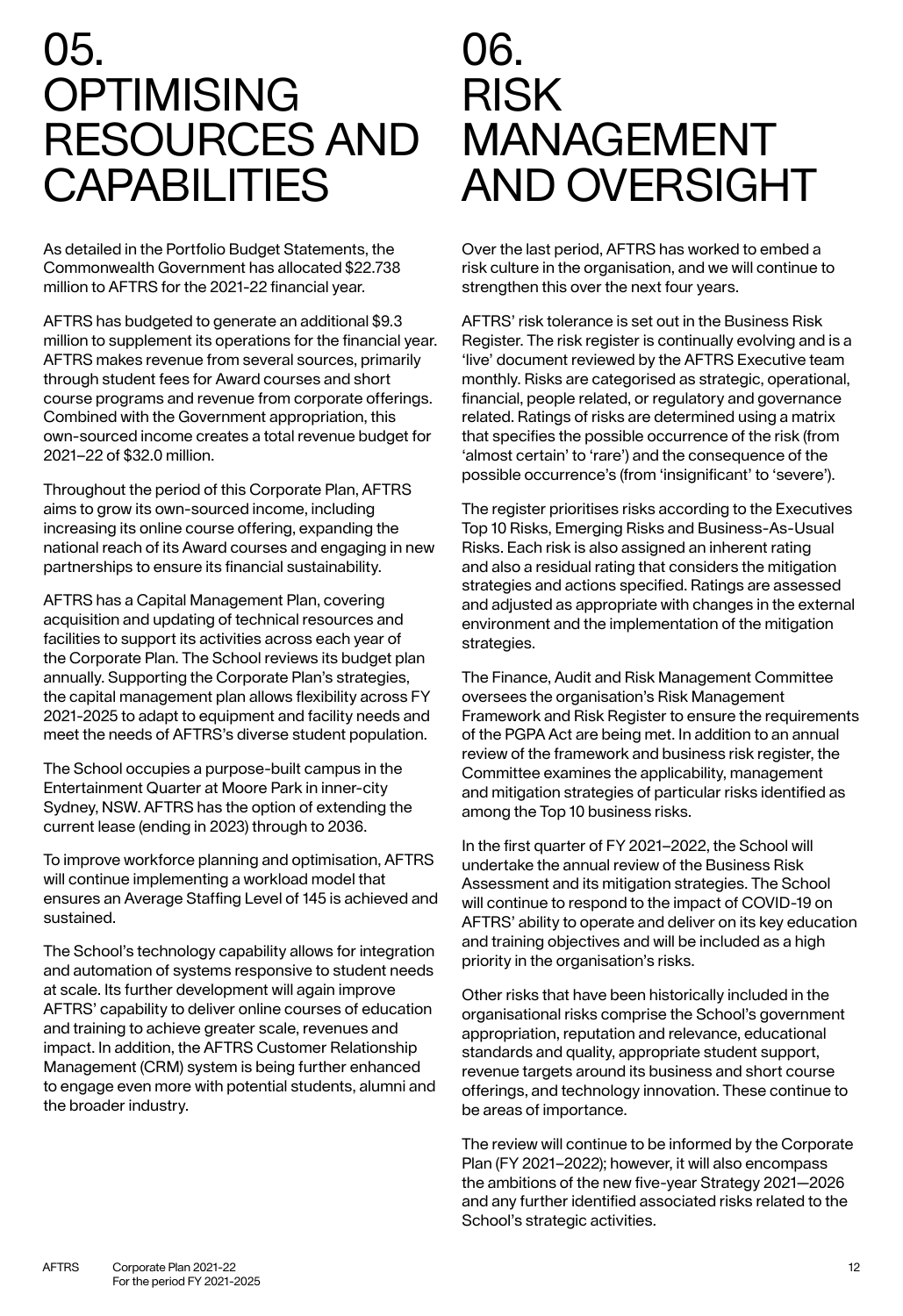# 05. **OPTIMISING** RESOURCES AND **CAPABILITIES**

As detailed in the Portfolio Budget Statements, the Commonwealth Government has allocated \$22.738 million to AFTRS for the 2021-22 financial year.

AFTRS has budgeted to generate an additional \$9.3 million to supplement its operations for the financial year. AFTRS makes revenue from several sources, primarily through student fees for Award courses and short course programs and revenue from corporate offerings. Combined with the Government appropriation, this own-sourced income creates a total revenue budget for 2021–22 of \$32.0 million.

Throughout the period of this Corporate Plan, AFTRS aims to grow its own-sourced income, including increasing its online course offering, expanding the national reach of its Award courses and engaging in new partnerships to ensure its financial sustainability.

AFTRS has a Capital Management Plan, covering acquisition and updating of technical resources and facilities to support its activities across each year of the Corporate Plan. The School reviews its budget plan annually. Supporting the Corporate Plan's strategies, the capital management plan allows flexibility across FY 2021-2025 to adapt to equipment and facility needs and meet the needs of AFTRS's diverse student population.

The School occupies a purpose-built campus in the Entertainment Quarter at Moore Park in inner-city Sydney, NSW. AFTRS has the option of extending the current lease (ending in 2023) through to 2036.

To improve workforce planning and optimisation, AFTRS will continue implementing a workload model that ensures an Average Staffing Level of 145 is achieved and sustained.

The School's technology capability allows for integration and automation of systems responsive to student needs at scale. Its further development will again improve AFTRS' capability to deliver online courses of education and training to achieve greater scale, revenues and impact. In addition, the AFTRS Customer Relationship Management (CRM) system is being further enhanced to engage even more with potential students, alumni and the broader industry.

# 06. RISK MANAGEMENT AND OVERSIGHT

Over the last period, AFTRS has worked to embed a risk culture in the organisation, and we will continue to strengthen this over the next four years.

AFTRS' risk tolerance is set out in the Business Risk Register. The risk register is continually evolving and is a 'live' document reviewed by the AFTRS Executive team monthly. Risks are categorised as strategic, operational, financial, people related, or regulatory and governance related. Ratings of risks are determined using a matrix that specifies the possible occurrence of the risk (from 'almost certain' to 'rare') and the consequence of the possible occurrence's (from 'insignificant' to 'severe').

The register prioritises risks according to the Executives Top 10 Risks, Emerging Risks and Business-As-Usual Risks. Each risk is also assigned an inherent rating and also a residual rating that considers the mitigation strategies and actions specified. Ratings are assessed and adjusted as appropriate with changes in the external environment and the implementation of the mitigation strategies.

The Finance, Audit and Risk Management Committee oversees the organisation's Risk Management Framework and Risk Register to ensure the requirements of the PGPA Act are being met. In addition to an annual review of the framework and business risk register, the Committee examines the applicability, management and mitigation strategies of particular risks identified as among the Top 10 business risks.

In the first quarter of FY 2021–2022, the School will undertake the annual review of the Business Risk Assessment and its mitigation strategies. The School will continue to respond to the impact of COVID-19 on AFTRS' ability to operate and deliver on its key education and training objectives and will be included as a high priority in the organisation's risks.

Other risks that have been historically included in the organisational risks comprise the School's government appropriation, reputation and relevance, educational standards and quality, appropriate student support, revenue targets around its business and short course offerings, and technology innovation. These continue to be areas of importance.

The review will continue to be informed by the Corporate Plan (FY 2021–2022); however, it will also encompass the ambitions of the new five-year Strategy 2021—2026 and any further identified associated risks related to the School's strategic activities.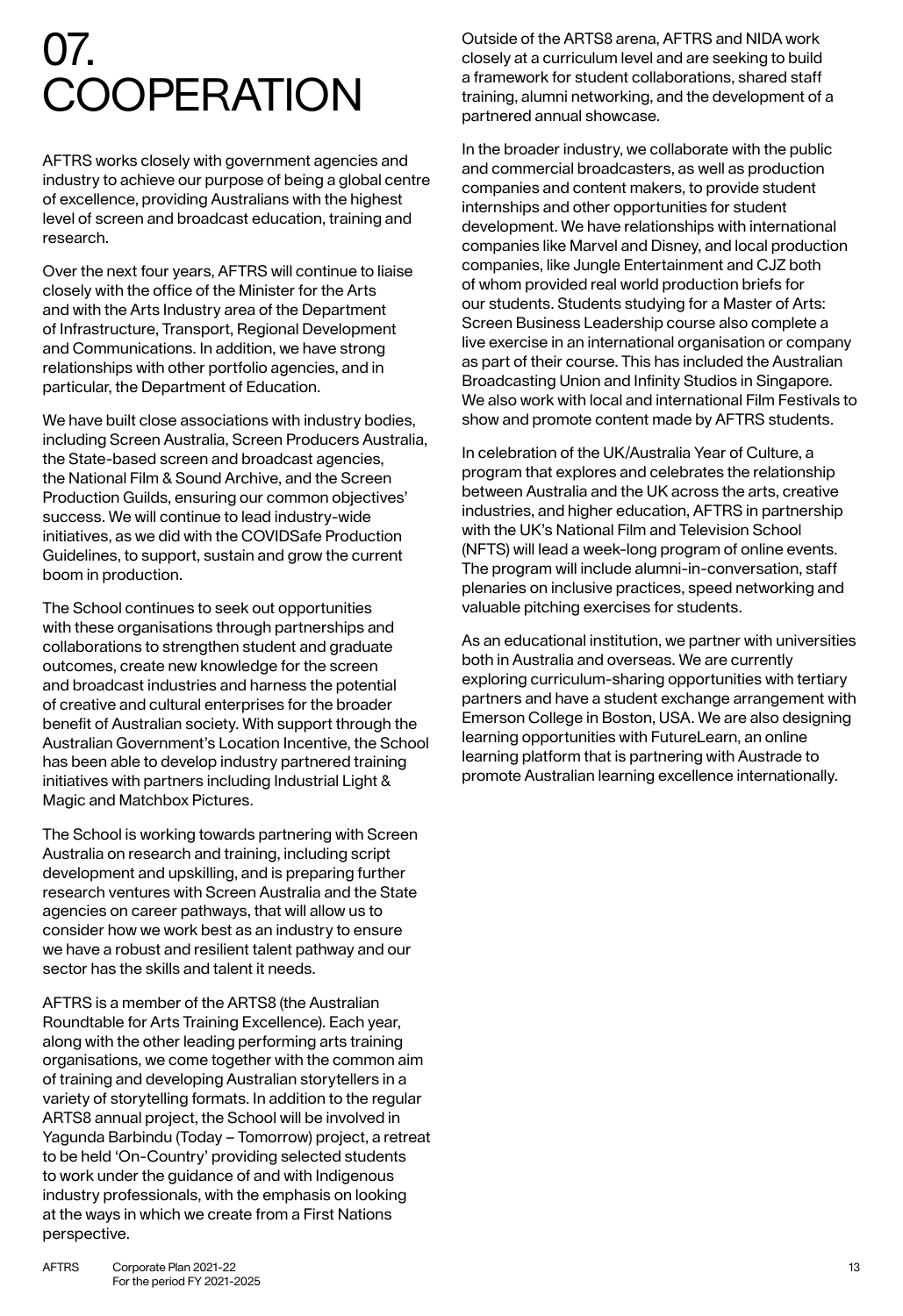# 07. **COOPERATION**

AFTRS works closely with government agencies and industry to achieve our purpose of being a global centre of excellence, providing Australians with the highest level of screen and broadcast education, training and research.

Over the next four years, AFTRS will continue to liaise closely with the office of the Minister for the Arts and with the Arts Industry area of the Department of Infrastructure, Transport, Regional Development and Communications. In addition, we have strong relationships with other portfolio agencies, and in particular, the Department of Education.

We have built close associations with industry bodies, including Screen Australia, Screen Producers Australia, the State-based screen and broadcast agencies, the National Film & Sound Archive, and the Screen Production Guilds, ensuring our common objectives' success. We will continue to lead industry-wide initiatives, as we did with the COVIDSafe Production Guidelines, to support, sustain and grow the current boom in production.

The School continues to seek out opportunities with these organisations through partnerships and collaborations to strengthen student and graduate outcomes, create new knowledge for the screen and broadcast industries and harness the potential of creative and cultural enterprises for the broader benefit of Australian society. With support through the Australian Government's Location Incentive, the School has been able to develop industry partnered training initiatives with partners including Industrial Light & Magic and Matchbox Pictures.

The School is working towards partnering with Screen Australia on research and training, including script development and upskilling, and is preparing further research ventures with Screen Australia and the State agencies on career pathways, that will allow us to consider how we work best as an industry to ensure we have a robust and resilient talent pathway and our sector has the skills and talent it needs.

AFTRS is a member of the ARTS8 (the Australian Roundtable for Arts Training Excellence). Each year, along with the other leading performing arts training organisations, we come together with the common aim of training and developing Australian storytellers in a variety of storytelling formats. In addition to the regular ARTS8 annual project, the School will be involved in Yagunda Barbindu (Today – Tomorrow) project, a retreat to be held 'On-Country' providing selected students to work under the guidance of and with Indigenous industry professionals, with the emphasis on looking at the ways in which we create from a First Nations perspective.

Outside of the ARTS8 arena, AFTRS and NIDA work closely at a curriculum level and are seeking to build a framework for student collaborations, shared staff training, alumni networking, and the development of a partnered annual showcase.

In the broader industry, we collaborate with the public and commercial broadcasters, as well as production companies and content makers, to provide student internships and other opportunities for student development. We have relationships with international companies like Marvel and Disney, and local production companies, like Jungle Entertainment and CJZ both of whom provided real world production briefs for our students. Students studying for a Master of Arts: Screen Business Leadership course also complete a live exercise in an international organisation or company as part of their course. This has included the Australian Broadcasting Union and Infinity Studios in Singapore. We also work with local and international Film Festivals to show and promote content made by AFTRS students.

In celebration of the UK/Australia Year of Culture, a program that explores and celebrates the relationship between Australia and the UK across the arts, creative industries, and higher education, AFTRS in partnership with the UK's National Film and Television School (NFTS) will lead a week-long program of online events. The program will include alumni-in-conversation, staff plenaries on inclusive practices, speed networking and valuable pitching exercises for students.

As an educational institution, we partner with universities both in Australia and overseas. We are currently exploring curriculum-sharing opportunities with tertiary partners and have a student exchange arrangement with Emerson College in Boston, USA. We are also designing learning opportunities with FutureLearn, an online learning platform that is partnering with Austrade to promote Australian learning excellence internationally.